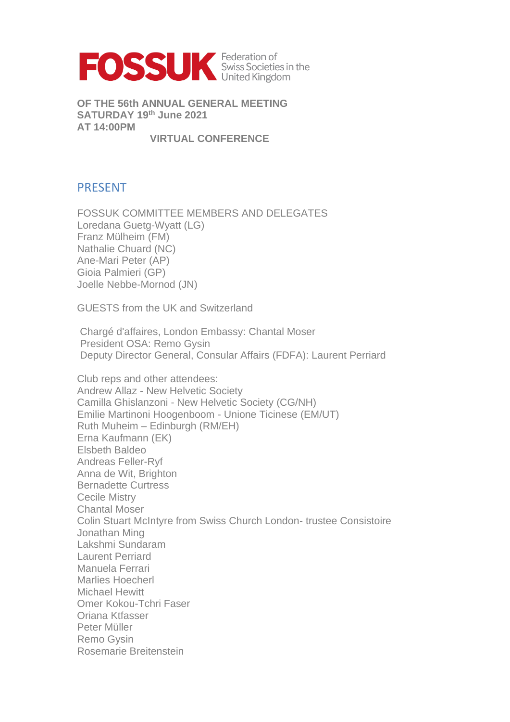

**OF THE 56th ANNUAL GENERAL MEETING SATURDAY 19th June 2021 AT 14:00PM**

**VIRTUAL CONFERENCE**

# PRESENT

FOSSUK COMMITTEE MEMBERS AND DELEGATES Loredana Guetg-Wyatt (LG) Franz Mülheim (FM) Nathalie Chuard (NC) Ane-Mari Peter (AP) Gioia Palmieri (GP) Joelle Nebbe-Mornod (JN)

GUESTS from the UK and Switzerland

Chargé d'affaires, London Embassy: Chantal Moser President OSA: Remo Gysin Deputy Director General, Consular Affairs (FDFA): Laurent Perriard

Club reps and other attendees: Andrew Allaz - New Helvetic Society Camilla Ghislanzoni - New Helvetic Society (CG/NH) Emilie Martinoni Hoogenboom - Unione Ticinese (EM/UT) Ruth Muheim – Edinburgh (RM/EH) Erna Kaufmann (EK) Elsbeth Baldeo Andreas Feller-Ryf Anna de Wit, Brighton Bernadette Curtress Cecile Mistry Chantal Moser Colin Stuart McIntyre from Swiss Church London- trustee Consistoire Jonathan Ming Lakshmi Sundaram Laurent Perriard Manuela Ferrari Marlies Hoecherl Michael Hewitt Omer Kokou-Tchri Faser Oriana Ktfasser Peter Müller Remo Gysin Rosemarie Breitenstein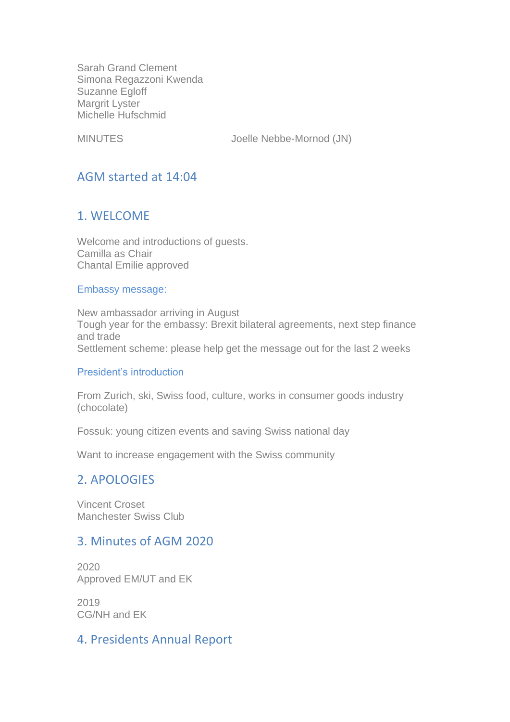Sarah Grand Clement Simona Regazzoni Kwenda Suzanne Egloff Margrit Lyster Michelle Hufschmid

MINUTES Joelle Nebbe-Mornod (JN)

# AGM started at 14:04

# 1. WELCOME

Welcome and introductions of guests. Camilla as Chair Chantal Emilie approved

#### Embassy message:

New ambassador arriving in August Tough year for the embassy: Brexit bilateral agreements, next step finance and trade Settlement scheme: please help get the message out for the last 2 weeks

#### President's introduction

From Zurich, ski, Swiss food, culture, works in consumer goods industry (chocolate)

Fossuk: young citizen events and saving Swiss national day

Want to increase engagement with the Swiss community

# 2. APOLOGIES

Vincent Croset Manchester Swiss Club

## 3. Minutes of AGM 2020

2020 Approved EM/UT and EK

2019 CG/NH and EK

## 4. Presidents Annual Report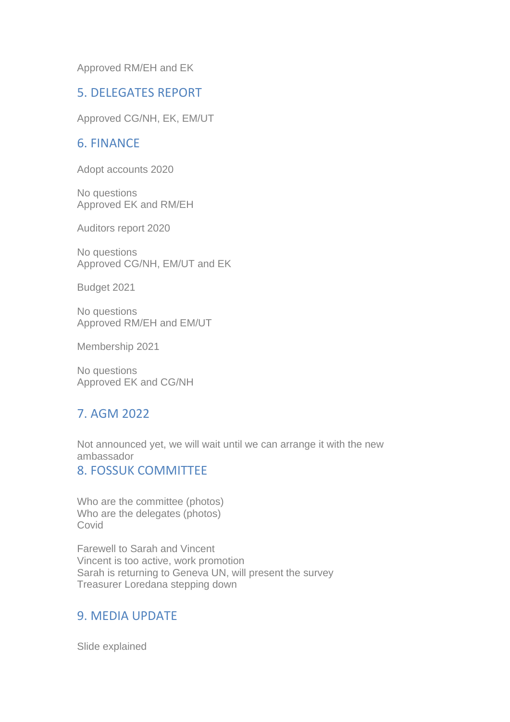Approved RM/EH and EK

### 5. DELEGATES REPORT

Approved CG/NH, EK, EM/UT

# 6. FINANCE

Adopt accounts 2020

No questions Approved EK and RM/EH

Auditors report 2020

No questions Approved CG/NH, EM/UT and EK

Budget 2021

No questions Approved RM/EH and EM/UT

Membership 2021

No questions Approved EK and CG/NH

# 7. AGM 2022

Not announced yet, we will wait until we can arrange it with the new ambassador

### 8. FOSSUK COMMITTEE

Who are the committee (photos) Who are the delegates (photos) Covid

Farewell to Sarah and Vincent Vincent is too active, work promotion Sarah is returning to Geneva UN, will present the survey Treasurer Loredana stepping down

### 9. MEDIA UPDATE

Slide explained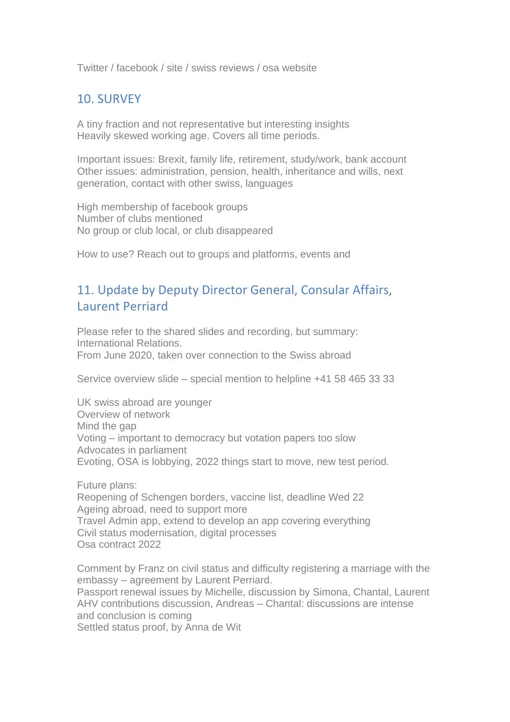Twitter / facebook / site / swiss reviews / osa website

# 10. SURVEY

A tiny fraction and not representative but interesting insights Heavily skewed working age. Covers all time periods.

Important issues: Brexit, family life, retirement, study/work, bank account Other issues: administration, pension, health, inheritance and wills, next generation, contact with other swiss, languages

High membership of facebook groups Number of clubs mentioned No group or club local, or club disappeared

How to use? Reach out to groups and platforms, events and

# 11. Update by Deputy Director General, Consular Affairs, Laurent Perriard

Please refer to the shared slides and recording, but summary: International Relations. From June 2020, taken over connection to the Swiss abroad

Service overview slide – special mention to helpline +41 58 465 33 33

UK swiss abroad are younger Overview of network Mind the gap Voting – important to democracy but votation papers too slow Advocates in parliament Evoting, OSA is lobbying, 2022 things start to move, new test period.

Future plans: Reopening of Schengen borders, vaccine list, deadline Wed 22 Ageing abroad, need to support more Travel Admin app, extend to develop an app covering everything Civil status modernisation, digital processes Osa contract 2022

Comment by Franz on civil status and difficulty registering a marriage with the embassy – agreement by Laurent Perriard. Passport renewal issues by Michelle, discussion by Simona, Chantal, Laurent AHV contributions discussion, Andreas – Chantal: discussions are intense and conclusion is coming

Settled status proof, by Anna de Wit